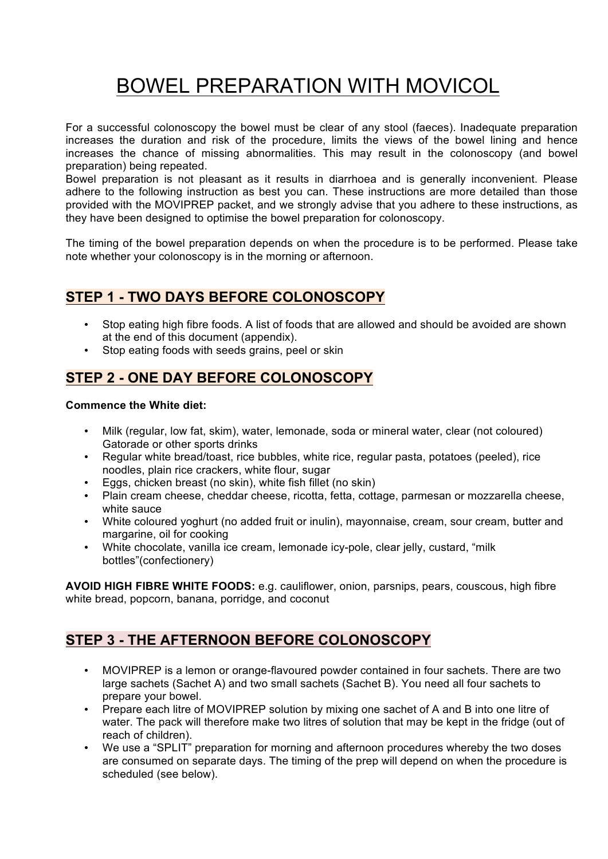# BOWEL PREPARATION WITH MOVICOL

For a successful colonoscopy the bowel must be clear of any stool (faeces). Inadequate preparation increases the duration and risk of the procedure, limits the views of the bowel lining and hence increases the chance of missing abnormalities. This may result in the colonoscopy (and bowel preparation) being repeated.

Bowel preparation is not pleasant as it results in diarrhoea and is generally inconvenient. Please adhere to the following instruction as best you can. These instructions are more detailed than those provided with the MOVIPREP packet, and we strongly advise that you adhere to these instructions, as they have been designed to optimise the bowel preparation for colonoscopy.

The timing of the bowel preparation depends on when the procedure is to be performed. Please take note whether your colonoscopy is in the morning or afternoon.

## **STEP 1 - TWO DAYS BEFORE COLONOSCOPY**

- Stop eating high fibre foods. A list of foods that are allowed and should be avoided are shown at the end of this document (appendix).
- Stop eating foods with seeds grains, peel or skin

# **STEP 2 - ONE DAY BEFORE COLONOSCOPY**

## **Commence the White diet:**

- Milk (regular, low fat, skim), water, lemonade, soda or mineral water, clear (not coloured) Gatorade or other sports drinks
- Regular white bread/toast, rice bubbles, white rice, regular pasta, potatoes (peeled), rice noodles, plain rice crackers, white flour, sugar
- Eggs, chicken breast (no skin), white fish fillet (no skin)
- Plain cream cheese, cheddar cheese, ricotta, fetta, cottage, parmesan or mozzarella cheese, white sauce
- White coloured yoghurt (no added fruit or inulin), mayonnaise, cream, sour cream, butter and margarine, oil for cooking
- White chocolate, vanilla ice cream, lemonade icy-pole, clear jelly, custard, "milk bottles"(confectionery)

**AVOID HIGH FIBRE WHITE FOODS:** e.g. cauliflower, onion, parsnips, pears, couscous, high fibre white bread, popcorn, banana, porridge, and coconut

# **STEP 3 - THE AFTERNOON BEFORE COLONOSCOPY**

- MOVIPREP is a lemon or orange-flavoured powder contained in four sachets. There are two large sachets (Sachet A) and two small sachets (Sachet B). You need all four sachets to prepare your bowel.
- Prepare each litre of MOVIPREP solution by mixing one sachet of A and B into one litre of water. The pack will therefore make two litres of solution that may be kept in the fridge (out of reach of children).
- We use a "SPLIT" preparation for morning and afternoon procedures whereby the two doses are consumed on separate days. The timing of the prep will depend on when the procedure is scheduled (see below).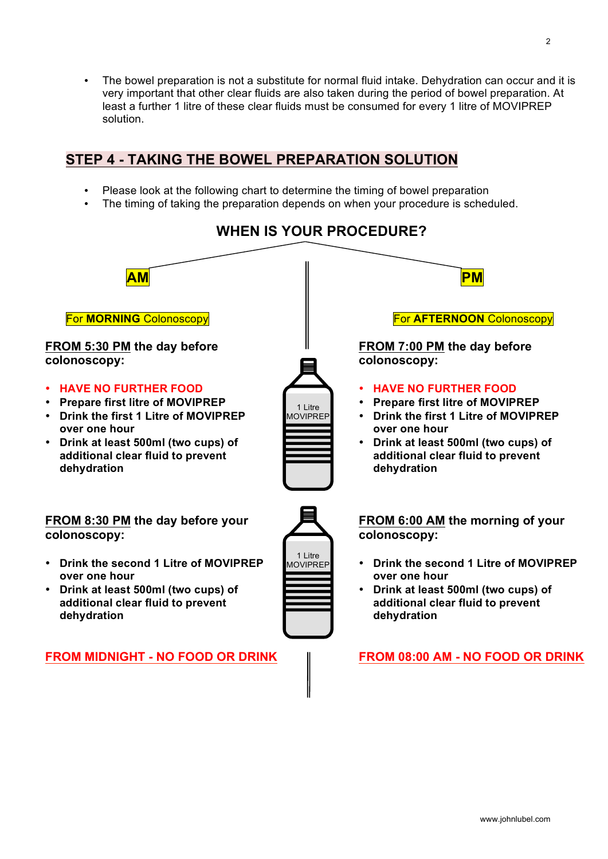# **STEP 4 - TAKING THE BOWEL PREPARATION SOLUTION**

- Please look at the following chart to determine the timing of bowel preparation
- The timing of taking the preparation depends on when your procedure is scheduled.



# **WHEN IS YOUR PROCEDURE?**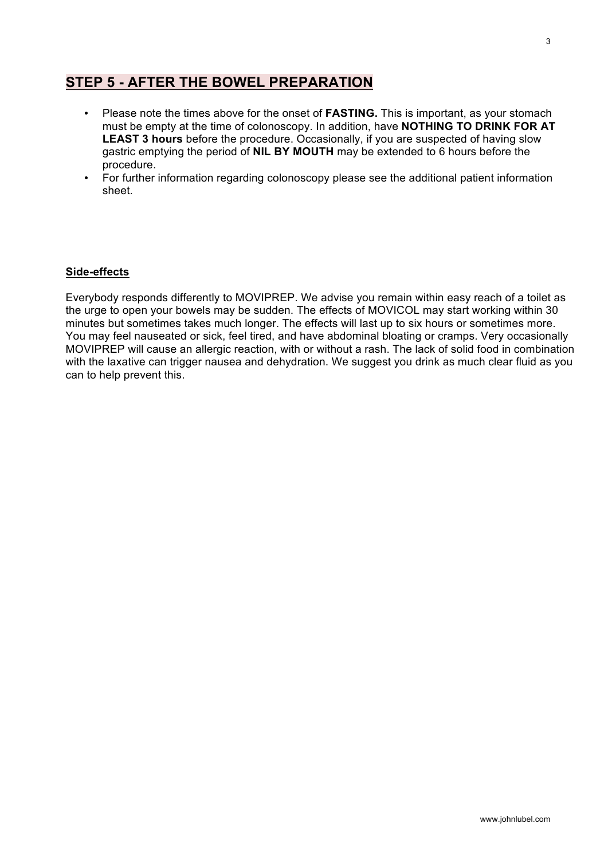## **STEP 5 - AFTER THE BOWEL PREPARATION**

- Please note the times above for the onset of **FASTING.** This is important, as your stomach must be empty at the time of colonoscopy. In addition, have **NOTHING TO DRINK FOR AT LEAST 3 hours** before the procedure. Occasionally, if you are suspected of having slow gastric emptying the period of **NIL BY MOUTH** may be extended to 6 hours before the procedure.
- For further information regarding colonoscopy please see the additional patient information sheet.

### **Side-effects**

Everybody responds differently to MOVIPREP. We advise you remain within easy reach of a toilet as the urge to open your bowels may be sudden. The effects of MOVICOL may start working within 30 minutes but sometimes takes much longer. The effects will last up to six hours or sometimes more. You may feel nauseated or sick, feel tired, and have abdominal bloating or cramps. Very occasionally MOVIPREP will cause an allergic reaction, with or without a rash. The lack of solid food in combination with the laxative can trigger nausea and dehydration. We suggest you drink as much clear fluid as you can to help prevent this.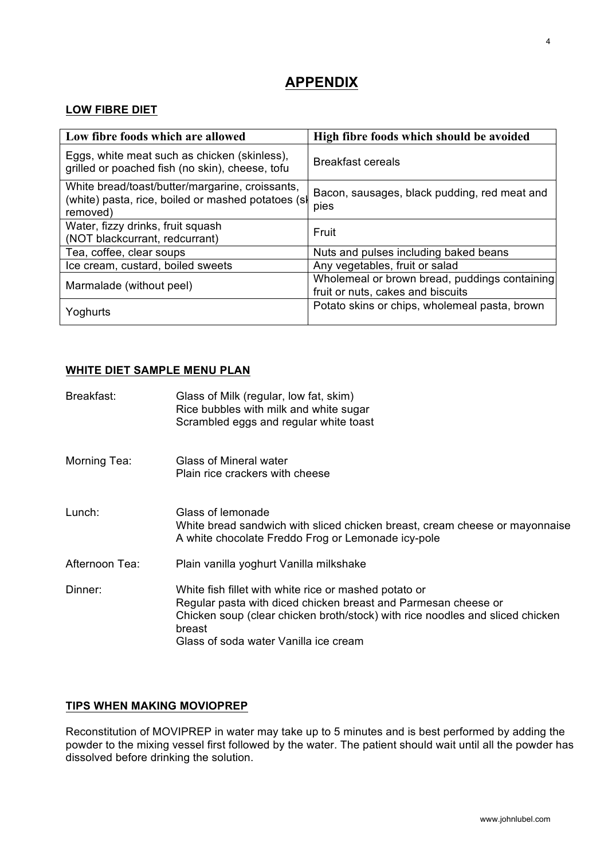# **APPENDIX**

## **LOW FIBRE DIET**

| Low fibre foods which are allowed                                                                                 | High fibre foods which should be avoided                                           |
|-------------------------------------------------------------------------------------------------------------------|------------------------------------------------------------------------------------|
| Eggs, white meat such as chicken (skinless),<br>grilled or poached fish (no skin), cheese, tofu                   | <b>Breakfast cereals</b>                                                           |
| White bread/toast/butter/margarine, croissants,<br>(white) pasta, rice, boiled or mashed potatoes (sl<br>removed) | Bacon, sausages, black pudding, red meat and<br>pies                               |
| Water, fizzy drinks, fruit squash<br>(NOT blackcurrant, redcurrant)                                               | Fruit                                                                              |
| Tea, coffee, clear soups                                                                                          | Nuts and pulses including baked beans                                              |
| Ice cream, custard, boiled sweets                                                                                 | Any vegetables, fruit or salad                                                     |
| Marmalade (without peel)                                                                                          | Wholemeal or brown bread, puddings containing<br>fruit or nuts, cakes and biscuits |
| Yoghurts                                                                                                          | Potato skins or chips, wholemeal pasta, brown                                      |

### **WHITE DIET SAMPLE MENU PLAN**

| Breakfast:     | Glass of Milk (regular, low fat, skim)<br>Rice bubbles with milk and white sugar<br>Scrambled eggs and regular white toast                                                                                                                                  |
|----------------|-------------------------------------------------------------------------------------------------------------------------------------------------------------------------------------------------------------------------------------------------------------|
| Morning Tea:   | Glass of Mineral water<br>Plain rice crackers with cheese                                                                                                                                                                                                   |
| Lunch:         | Glass of lemonade<br>White bread sandwich with sliced chicken breast, cream cheese or mayonnaise<br>A white chocolate Freddo Frog or Lemonade icy-pole                                                                                                      |
| Afternoon Tea: | Plain vanilla yoghurt Vanilla milkshake                                                                                                                                                                                                                     |
| Dinner:        | White fish fillet with white rice or mashed potato or<br>Regular pasta with diced chicken breast and Parmesan cheese or<br>Chicken soup (clear chicken broth/stock) with rice noodles and sliced chicken<br>breast<br>Glass of soda water Vanilla ice cream |

## **TIPS WHEN MAKING MOVIOPREP**

Reconstitution of MOVIPREP in water may take up to 5 minutes and is best performed by adding the powder to the mixing vessel first followed by the water. The patient should wait until all the powder has dissolved before drinking the solution.